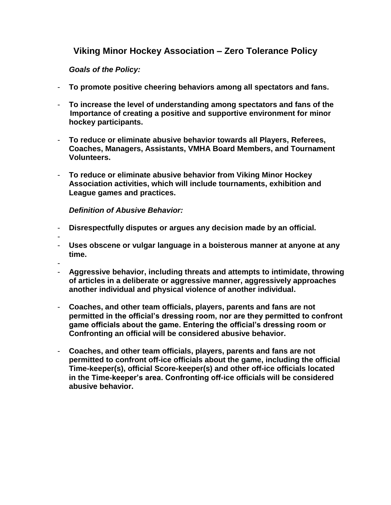## **Viking Minor Hockey Association – Zero Tolerance Policy**

*Goals of the Policy:*

- **To promote positive cheering behaviors among all spectators and fans.**
- **To increase the level of understanding among spectators and fans of the Importance of creating a positive and supportive environment for minor hockey participants.**
- **To reduce or eliminate abusive behavior towards all Players, Referees, Coaches, Managers, Assistants, VMHA Board Members, and Tournament Volunteers.**
- **To reduce or eliminate abusive behavior from Viking Minor Hockey Association activities, which will include tournaments, exhibition and League games and practices.**

*Definition of Abusive Behavior:*

- **Disrespectfully disputes or argues any decision made by an official.**
- -
- **Uses obscene or vulgar language in a boisterous manner at anyone at any time.**
- -
- **Aggressive behavior, including threats and attempts to intimidate, throwing of articles in a deliberate or aggressive manner, aggressively approaches another individual and physical violence of another individual.**
- **Coaches, and other team officials, players, parents and fans are not permitted in the official's dressing room, nor are they permitted to confront game officials about the game. Entering the official's dressing room or Confronting an official will be considered abusive behavior.**
- **Coaches, and other team officials, players, parents and fans are not permitted to confront off-ice officials about the game, including the official Time-keeper(s), official Score-keeper(s) and other off-ice officials located in the Time-keeper's area. Confronting off-ice officials will be considered abusive behavior.**